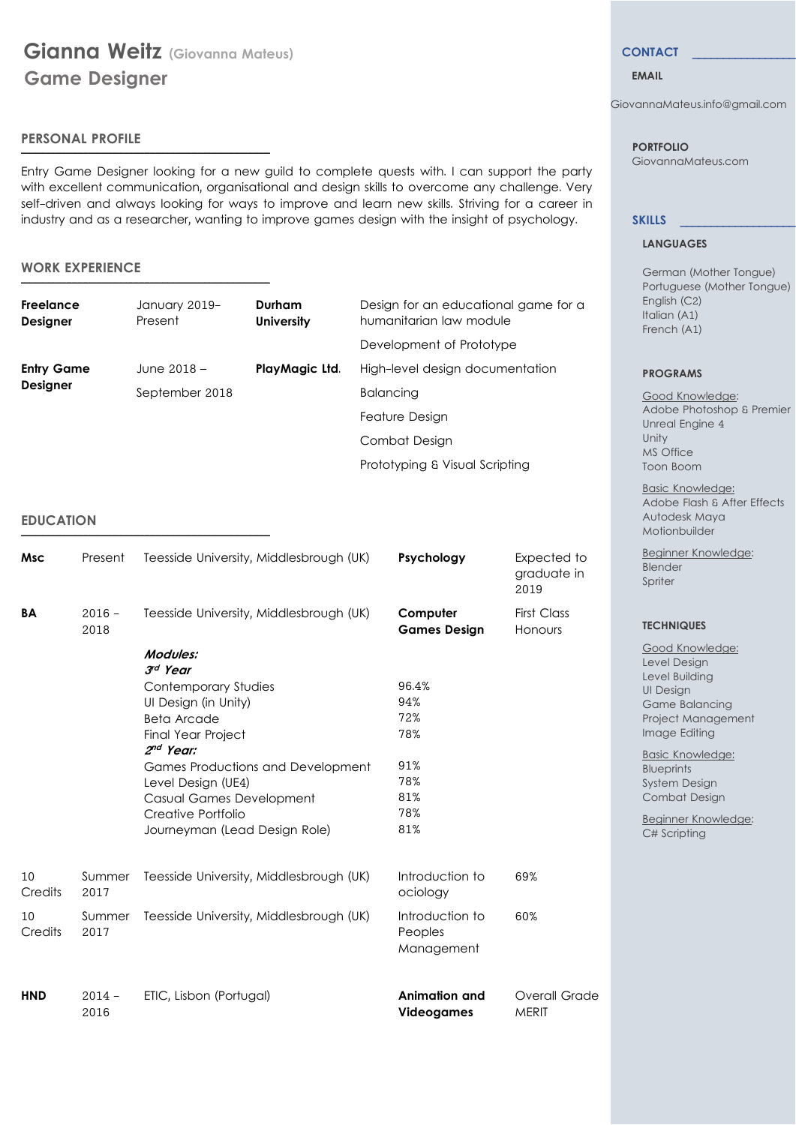\_\_\_\_\_\_\_\_\_\_\_\_\_\_\_\_\_\_\_\_\_\_\_\_\_\_\_\_\_\_\_\_\_\_\_\_\_\_\_\_\_\_\_\_\_\_\_\_\_\_\_\_\_\_\_\_\_\_\_\_\_\_\_\_\_\_\_\_\_\_\_\_\_\_\_\_\_\_\_\_\_\_\_\_\_\_\_\_\_\_\_\_\_\_\_\_\_\_\_\_\_\_\_\_\_\_\_\_\_\_\_\_\_\_\_\_\_\_\_\_\_\_\_\_\_\_\_\_\_\_\_\_\_\_\_\_\_

\_\_\_\_\_\_\_\_\_\_\_\_\_\_\_\_\_\_\_\_\_\_\_\_\_\_\_\_\_\_\_\_\_\_\_\_\_\_\_\_\_\_\_\_\_\_\_\_\_\_\_\_\_\_\_\_\_\_\_\_\_\_\_\_\_\_\_\_\_\_\_\_\_\_\_\_\_\_\_\_\_\_\_\_\_\_\_\_\_\_\_\_\_\_\_\_\_\_\_\_\_\_\_\_\_\_\_\_\_\_\_\_\_\_\_\_\_\_\_\_\_\_\_\_\_\_\_\_\_\_\_\_\_\_\_\_\_

\_\_\_\_\_\_\_\_\_\_\_\_\_\_\_\_\_\_\_\_\_\_\_\_\_\_\_\_\_\_\_\_\_\_\_\_\_\_\_\_\_\_\_\_\_\_\_\_\_\_\_\_\_\_\_\_\_\_\_\_\_\_\_\_\_\_\_\_\_\_\_\_\_\_\_\_\_\_\_\_\_\_\_\_\_\_\_\_\_\_\_\_\_\_\_\_\_\_\_\_\_\_\_\_\_\_\_\_\_\_\_\_\_\_\_\_\_\_\_\_\_\_\_\_\_\_\_\_\_\_\_\_\_\_\_\_\_

# **PERSONAL PROFILE**

Entry Game Designer looking for a new guild to complete quests with. I can support the party with excellent communication, organisational and design skills to overcome any challenge. Very self-driven and always looking for ways to improve and learn new skills. Striving for a career in industry and as a researcher, wanting to improve games design with the insight of psychology.

### **WORK EXPERIENCE**

| Freelance<br><b>Designer</b> | January 2019-<br>Present | Durham<br><b>University</b> | Design for an educational game for a<br>humanitarian law module |
|------------------------------|--------------------------|-----------------------------|-----------------------------------------------------------------|
|                              |                          |                             | Development of Prototype                                        |
| <b>Entry Game</b>            | June 2018 -              | PlayMagic Ltd.              | High-level design documentation                                 |
| <b>Designer</b>              | September 2018           |                             | <b>Balancing</b>                                                |
|                              |                          |                             | Feature Design                                                  |
|                              |                          |                             | Combat Design                                                   |
|                              |                          |                             | Prototyping & Visual Scripting                                  |

### **EDUCATION**

| <b>Msc</b>    | Present          | Teesside University, Middlesbrough (UK)                                                                                                                                                                                                                | Psychology                                             | Expected to<br>graduate in<br>2019 |
|---------------|------------------|--------------------------------------------------------------------------------------------------------------------------------------------------------------------------------------------------------------------------------------------------------|--------------------------------------------------------|------------------------------------|
| <b>BA</b>     | $2016 -$<br>2018 | Teesside University, Middlesbrough (UK)                                                                                                                                                                                                                | Computer<br><b>Games Design</b>                        | <b>First Class</b><br>Honours      |
|               |                  | Modules:<br>3rd Year<br><b>Contemporary Studies</b><br>UI Design (in Unity)<br>Beta Arcade<br>Final Year Project<br>2 <sup>nd</sup> Year:<br>Games Productions and Development<br>Level Design (UE4)<br>Casual Games Development<br>Creative Portfolio | 96.4%<br>94%<br>72%<br>78%<br>91%<br>78%<br>81%<br>78% |                                    |
|               |                  | Journeyman (Lead Design Role)                                                                                                                                                                                                                          | 81%                                                    |                                    |
| 10<br>Credits | Summer<br>2017   | Teesside University, Middlesbrough (UK)                                                                                                                                                                                                                | Introduction to<br>ociology                            | 69%                                |
| 10<br>Credits | Summer<br>2017   | Teesside University, Middlesbrough (UK)                                                                                                                                                                                                                | Introduction to<br>Peoples<br>Management               | 60%                                |
| <b>HND</b>    | $2014 -$<br>2016 | ETIC, Lisbon (Portugal)                                                                                                                                                                                                                                | <b>Animation and</b><br><b>Videogames</b>              | Overall Grade<br><b>MERIT</b>      |

### **CONTACT \_\_\_\_\_\_\_\_\_\_\_\_\_\_\_\_\_**

# **EMAIL**

GiovannaMateus.info@gmail.com

 **PORTFOLIO** GiovannaMateus.com

#### **SKILLS \_\_\_\_\_\_\_\_\_\_\_\_\_\_\_\_\_\_\_**

#### **LANGUAGES**

 German (Mother Tongue) Portuguese (Mother Tongue) English (C2) Italian (A1) French (A1)

## **PROGRAMS**

 Good Knowledge: Adobe Photoshop & Premier Unreal Engine 4 Unity MS Office Toon Boom

 Basic Knowledge: Adobe Flash & After Effects Autodesk Maya Motionbuilder

 Beginner Knowledge: Blender Spriter

### **TECHNIQUES**

**Good Knowledge:**  Level Design Level Building UI Design Game Balancing Project Management Image Editing

 Basic Knowledge: **Blueprints**  System Design Combat Design

 Beginner Knowledge: C# Scripting